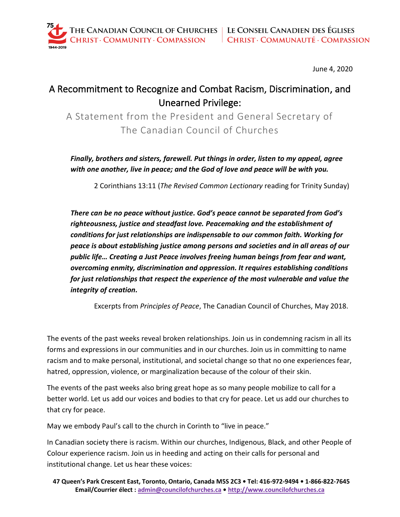June 4, 2020

## A Recommitment to Recognize and Combat Racism, Discrimination, and Unearned Privilege:

A Statement from the President and General Secretary of The Canadian Council of Churches

*Finally, brothers and sisters, farewell. Put things in order, listen to my appeal, agree with one another, live in peace; and the God of love and peace will be with you.*

2 Corinthians 13:11 (*The Revised Common Lectionary* reading for Trinity Sunday)

*There can be no peace without justice. God's peace cannot be separated from God's righteousness, justice and steadfast love. Peacemaking and the establishment of conditions for just relationships are indispensable to our common faith. Working for peace is about establishing justice among persons and societies and in all areas of our public life… Creating a Just Peace involves freeing human beings from fear and want, overcoming enmity, discrimination and oppression. It requires establishing conditions for just relationships that respect the experience of the most vulnerable and value the integrity of creation.*

Excerpts from *Principles of Peace*, The Canadian Council of Churches, May 2018.

The events of the past weeks reveal broken relationships. Join us in condemning racism in all its forms and expressions in our communities and in our churches. Join us in committing to name racism and to make personal, institutional, and societal change so that no one experiences fear, hatred, oppression, violence, or marginalization because of the colour of their skin.

The events of the past weeks also bring great hope as so many people mobilize to call for a better world. Let us add our voices and bodies to that cry for peace. Let us add our churches to that cry for peace.

May we embody Paul's call to the church in Corinth to "live in peace."

In Canadian society there is racism. Within our churches, Indigenous, Black, and other People of Colour experience racism. Join us in heeding and acting on their calls for personal and institutional change. Let us hear these voices: